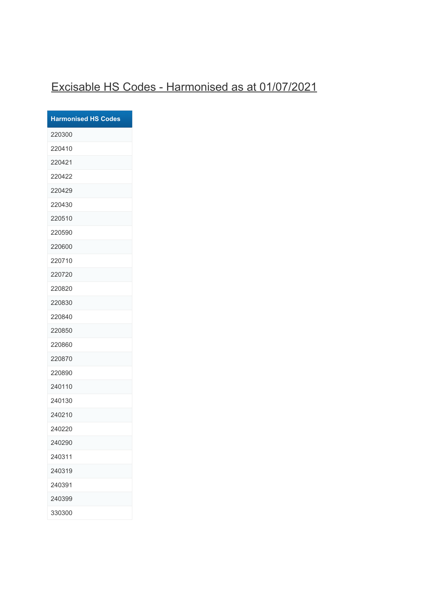## Excisable HS Codes - Harmonised as at 01/07/2021

| <b>Harmonised HS Codes</b> |
|----------------------------|
| 220300                     |
| 220410                     |
| 220421                     |
| 220422                     |
| 220429                     |
| 220430                     |
| 220510                     |
| 220590                     |
| 220600                     |
| 220710                     |
| 220720                     |
| 220820                     |
| 220830                     |
| 220840                     |
| 220850                     |
| 220860                     |
| 220870                     |
| 220890                     |
| 240110                     |
| 240130                     |
| 240210                     |
| 240220                     |
| 240290                     |
| 240311                     |
| 240319                     |
| 240391                     |
| 240399                     |
| 330300                     |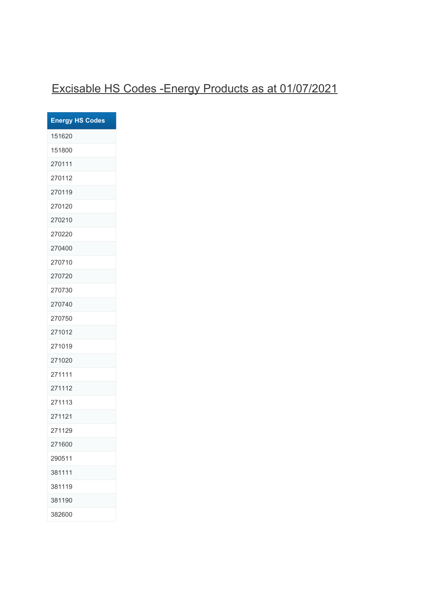## Excisable HS Codes -Energy Products as at 01/07/2021

| <b>Energy HS Codes</b> |
|------------------------|
| 151620                 |
| 151800                 |
| 270111                 |
| 270112                 |
| 270119                 |
| 270120                 |
| 270210                 |
| 270220                 |
| 270400                 |
| 270710                 |
| 270720                 |
| 270730                 |
| 270740                 |
| 270750                 |
| 271012                 |
| 271019                 |
| 271020                 |
| 271111                 |
| 271112                 |
| 271113                 |
| 271121                 |
| 271129                 |
| 271600                 |
| 290511                 |
| 381111                 |
| 381119                 |
| 381190                 |
| 382600                 |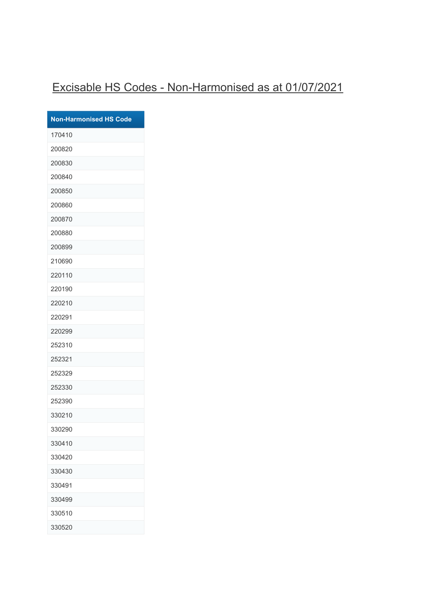## Excisable HS Codes - Non-Harmonised as at 01/07/2021

| <b>Non-Harmonised HS Code</b> |
|-------------------------------|
| 170410                        |
| 200820                        |
| 200830                        |
| 200840                        |
| 200850                        |
| 200860                        |
| 200870                        |
| 200880                        |
| 200899                        |
| 210690                        |
| 220110                        |
| 220190                        |
| 220210                        |
| 220291                        |
| 220299                        |
| 252310                        |
| 252321                        |
| 252329                        |
| 252330                        |
| 252390                        |
| 330210                        |
| 330290                        |
| 330410                        |
| 330420                        |
| 330430                        |
| 330491                        |
| 330499                        |
| 330510                        |
| 330520                        |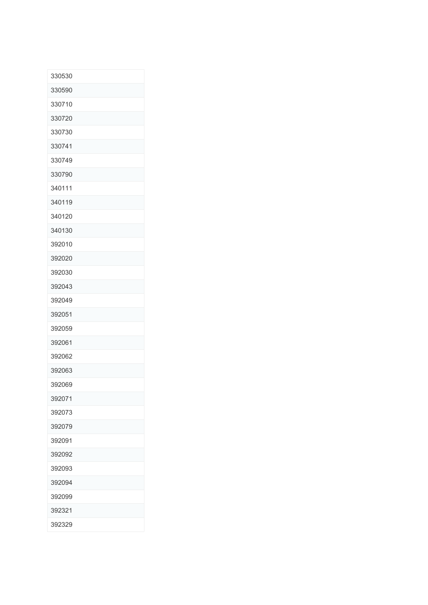| 330530 |
|--------|
| 330590 |
| 330710 |
| 330720 |
| 330730 |
| 330741 |
| 330749 |
| 330790 |
| 340111 |
| 340119 |
| 340120 |
| 340130 |
| 392010 |
| 392020 |
| 392030 |
| 392043 |
| 392049 |
| 392051 |
| 392059 |
| 392061 |
| 392062 |
| 392063 |
| 392069 |
| 392071 |
| 392073 |
| 392079 |
| 392091 |
| 392092 |
| 392093 |
| 392094 |
| 392099 |
| 392321 |
| 392329 |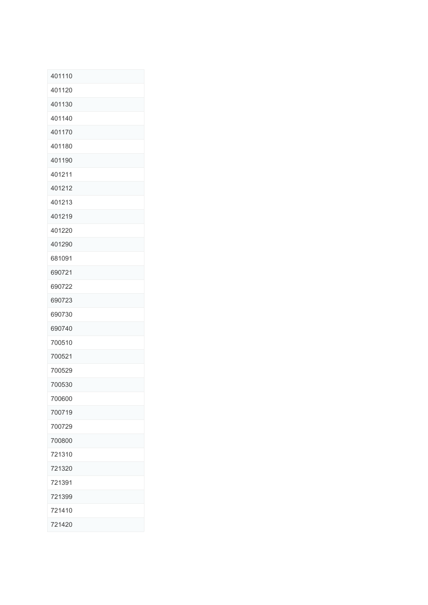| 401110 |
|--------|
| 401120 |
| 401130 |
| 401140 |
| 401170 |
| 401180 |
| 401190 |
| 401211 |
| 401212 |
| 401213 |
| 401219 |
| 401220 |
| 401290 |
| 681091 |
| 690721 |
| 690722 |
| 690723 |
| 690730 |
| 690740 |
| 700510 |
| 700521 |
| 700529 |
| 700530 |
| 700600 |
| 700719 |
| 700729 |
| 700800 |
| 721310 |
| 721320 |
| 721391 |
| 721399 |
| 721410 |
| 721420 |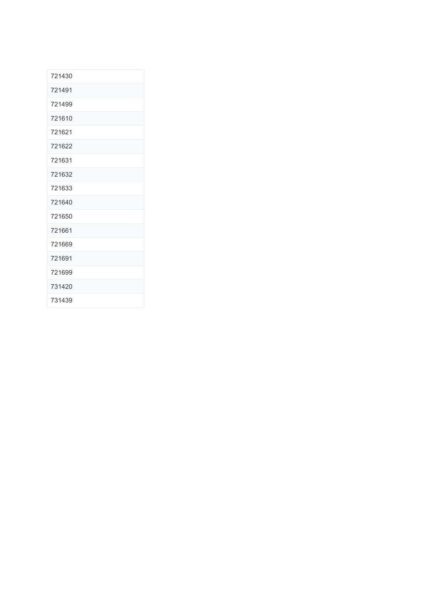| 721430 |  |
|--------|--|
| 721491 |  |
| 721499 |  |
| 721610 |  |
| 721621 |  |
| 721622 |  |
| 721631 |  |
| 721632 |  |
| 721633 |  |
| 721640 |  |
| 721650 |  |
| 721661 |  |
| 721669 |  |
| 721691 |  |
| 721699 |  |
| 731420 |  |
| 731439 |  |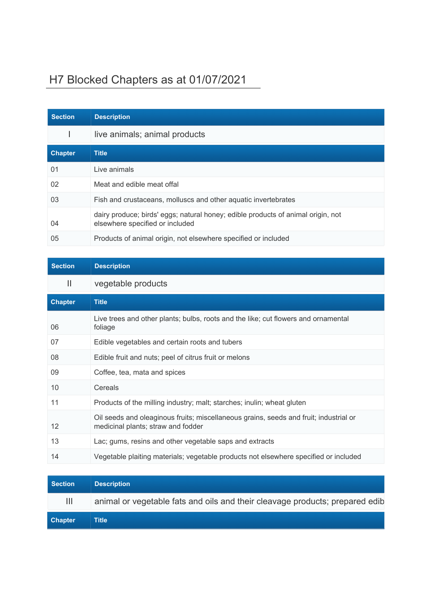## H7 Blocked Chapters as at 01/07/2021

| <b>Section</b> | <b>Description</b>                                                                                                  |
|----------------|---------------------------------------------------------------------------------------------------------------------|
|                | live animals; animal products                                                                                       |
| <b>Chapter</b> | <b>Title</b>                                                                                                        |
| 01             | Live animals                                                                                                        |
| 02             | Meat and edible meat offal                                                                                          |
| 03             | Fish and crustaceans, molluscs and other aquatic invertebrates                                                      |
| 04             | dairy produce; birds' eggs; natural honey; edible products of animal origin, not<br>elsewhere specified or included |
| 05             | Products of animal origin, not elsewhere specified or included                                                      |

| <b>Section</b> | <b>Description</b>                                                                                                          |
|----------------|-----------------------------------------------------------------------------------------------------------------------------|
| $\mathbf{  }$  | vegetable products                                                                                                          |
| <b>Chapter</b> | <b>Title</b>                                                                                                                |
| 06             | Live trees and other plants; bulbs, roots and the like; cut flowers and ornamental<br>foliage                               |
| 07             | Edible vegetables and certain roots and tubers                                                                              |
| 08             | Edible fruit and nuts; peel of citrus fruit or melons                                                                       |
| 09             | Coffee, tea, mata and spices                                                                                                |
| 10             | Cereals                                                                                                                     |
| 11             | Products of the milling industry; malt; starches; inulin; wheat gluten                                                      |
| 12             | Oil seeds and oleaginous fruits; miscellaneous grains, seeds and fruit; industrial or<br>medicinal plants; straw and fodder |
| 13             | Lac; gums, resins and other vegetable saps and extracts                                                                     |
| 14             | Vegetable plaiting materials; vegetable products not elsewhere specified or included                                        |

| <b>Section</b> | <b>Description</b>                                                           |
|----------------|------------------------------------------------------------------------------|
| Ш              | animal or vegetable fats and oils and their cleavage products; prepared edib |
| <b>Chapter</b> | Title                                                                        |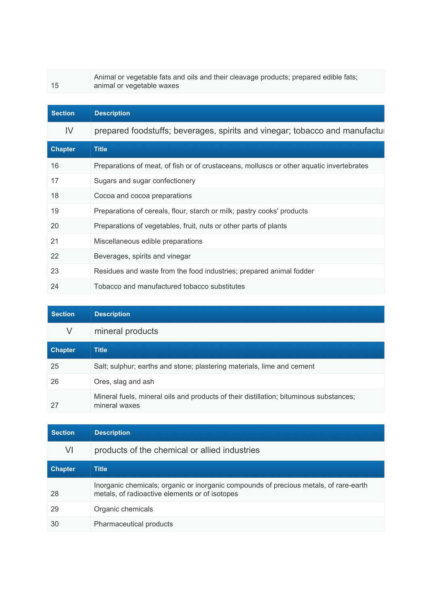15

Animal or vegetable fats and oils and their cleavage products; prepared edible fats; animal or vegetable waxes

| <b>Section</b> | <b>Description</b>                                                                       |
|----------------|------------------------------------------------------------------------------------------|
| IV             | prepared foodstuffs; beverages, spirits and vinegar; tobacco and manufactul              |
| <b>Chapter</b> | <b>Title</b>                                                                             |
| 16             | Preparations of meat, of fish or of crustaceans, molluscs or other aquatic invertebrates |
| 17             | Sugars and sugar confectionery                                                           |
| 18             | Cocoa and cocoa preparations                                                             |
| 19             | Preparations of cereals, flour, starch or milk; pastry cooks' products                   |
| 20             | Preparations of vegetables, fruit, nuts or other parts of plants                         |
| 21             | Miscellaneous edible preparations                                                        |
| 22             | Beverages, spirits and vinegar                                                           |
| 23             | Residues and waste from the food industries; prepared animal fodder                      |
| 24             | Tobacco and manufactured tobacco substitutes                                             |

| <b>Section</b> | <b>Description</b>                                                                                      |
|----------------|---------------------------------------------------------------------------------------------------------|
| V              | mineral products                                                                                        |
| <b>Chapter</b> | <b>Title</b>                                                                                            |
| 25             | Salt; sulphur; earths and stone; plastering materials, lime and cement                                  |
| 26             | Ores, slag and ash                                                                                      |
|                | Mineral fuels, mineral oils and products of their distillation; bituminous substances;<br>mineral waxes |

| <b>Section</b> | <b>Description</b>                                                                                                                      |
|----------------|-----------------------------------------------------------------------------------------------------------------------------------------|
| VI             | products of the chemical or allied industries                                                                                           |
| <b>Chapter</b> | <b>Title</b>                                                                                                                            |
| 28             | Inorganic chemicals; organic or inorganic compounds of precious metals, of rare-earth<br>metals, of radioactive elements or of isotopes |
| 29             | Organic chemicals                                                                                                                       |
| 30             | Pharmaceutical products                                                                                                                 |